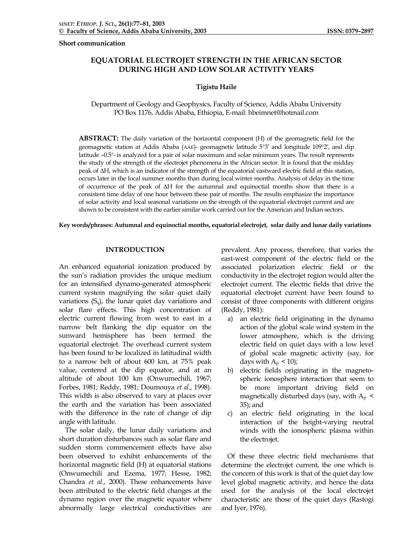**Short communication** 

# **EQUATORIAL ELECTROJET STRENGTH IN THE AFRICAN SECTOR DURING HIGH AND LOW SOLAR ACTIVITY YEARS**

# **Tigistu Haile**

Department of Geology and Geophysics, Faculty of Science, Addis Ababa University PO Box 1176, Addis Ababa, Ethiopia, E-mail: hbeimnet@hotmail.com

**ABSTRACT:** The daily variation of the horizontal component (H) of the geomagnetic field for the geomagnetic station at Addis Ababa (AAE)- geomagnetic latitude 5°3′ and longitude 109°2′, and dip latitude –0.5°- is analyzed for a pair of solar maximum and solar minimum years. The result represents the study of the strength of the electrojet phenomena in the African sector. It is found that the midday peak of ∆H, which is an indicator of the strength of the equatorial eastward electric field at this station, occurs later in the local summer months than during local winter months. Analysis of delay in the time of occurrence of the peak of ∆H for the autumnal and equinoctial months show that there is a consistent time delay of one hour between these pair of months. The results emphasize the importance of solar activity and local seasonal variations on the strength of the equatorial electrojet current and are shown to be consistent with the earlier similar work carried out for the American and Indian sectors.

#### **Key words/phrases: Autumnal and equinoctial months, equatorial electrojet, solar daily and lunar daily variations**

# **INTRODUCTION**

An enhanced equatorial ionization produced by the sun's radiation provides the unique medium for an intensified dynamo-generated atmospheric current system magnifying the solar quiet daily variations  $(S_q)$ , the lunar quiet day variations and solar flare effects. This high concentration of electric current flowing from west to east in a narrow belt flanking the dip equator on the sunward hemisphere has been termed the equatorial electrojet. The overhead current system has been found to be localized in latitudinal width to a narrow belt of about 600 km, at 75% peak value, centered at the dip equator, and at an altitude of about 100 km (Onwumechili, 1967; Forbes, 1981; Reddy, 1981; Doumouya *et al*., 1998). This width is also observed to vary at places over the earth and the variation has been associated with the difference in the rate of change of dip angle with latitude.

 The solar daily, the lunar daily variations and short duration disturbances such as solar flare and sudden storm commencement effects have also been observed to exhibit enhancements of the horizontal magnetic field (H) at equatorial stations (Onwumechili and Ezema, 1977; Hesse, 1982; Chandra *et al.*, 2000). These enhancements have been attributed to the electric field changes at the dynamo region over the magnetic equator where abnormally large electrical conductivities are

prevalent. Any process, therefore, that varies the east-west component of the electric field or the associated polarization electric field or the conductivity in the electrojet region would alter the electrojet current. The electric fields that drive the equatorial electrojet current have been found to consist of three components with different origins (Reddy, 1981):

- a) an electric field originating in the dynamo action of the global scale wind system in the lower atmosphere, which is the driving electric field on quiet days with a low level of global scale magnetic activity (say, for days with  $A_p < 10$ );
- b) electric fields originating in the magnetospheric ionosphere interaction that seem to be more important driving field on magnetically disturbed days (say, with  $A_p$  < 35); and
- c) an electric field originating in the local interaction of the height-varying neutral winds with the ionospheric plasma within the electrojet.

 Of these three electric field mechanisms that determine the electrojet current, the one which is the concern of this work is that of the quiet day low level global magnetic activity, and hence the data used for the analysis of the local electrojet characteristic are those of the quiet days (Rastogi and Iyer, 1976).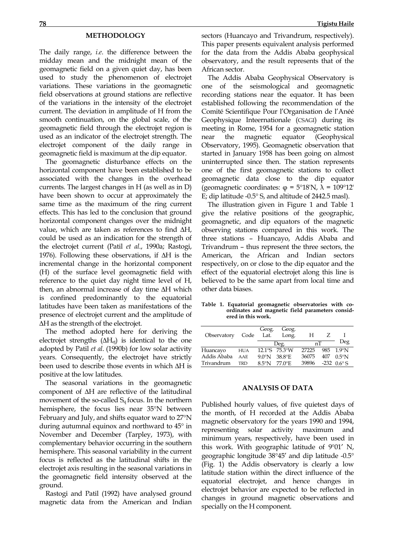## **METHODOLOGY**

The daily range, *i.e*. the difference between the midday mean and the midnight mean of the geomagnetic field on a given quiet day, has been used to study the phenomenon of electrojet variations. These variations in the geomagnetic field observations at ground stations are reflective of the variations in the intensity of the electrojet current. The deviation in amplitude of H from the smooth continuation, on the global scale, of the geomagnetic field through the electrojet region is used as an indicator of the electrojet strength. The electrojet component of the daily range in geomagnetic field is maximum at the dip equator.

 The geomagnetic disturbance effects on the horizontal component have been established to be associated with the changes in the overhead currents. The largest changes in H (as well as in D) have been shown to occur at approximately the same time as the maximum of the ring current effects. This has led to the conclusion that ground horizontal component changes over the midnight value, which are taken as references to find ∆H, could be used as an indication for the strength of the electrojet current (Patil *et al*., 1990a; Rastogi, 1976). Following these observations, if ∆H is the incremental change in the horizontal component (H) of the surface level geomagnetic field with reference to the quiet day night time level of H, then, an abnormal increase of day time ∆H which is confined predominantly to the equatorial latitudes have been taken as manifestations of the presence of electrojet current and the amplitude of ∆H as the strength of the electrojet.

 The method adopted here for deriving the electrojet strengths  $(\Delta H_{ei})$  is identical to the one adopted by Patil *et al*. (1990b) for low solar activity years. Consequently, the electrojet have strictly been used to describe those events in which ∆H is positive at the low latitudes.

 The seasonal variations in the geomagnetic component of ∆H are reflective of the latitudinal movement of the so-called  $S_q$  focus. In the northern hemisphere, the focus lies near 35°N between February and July, and shifts equator ward to 27°N during autumnal equinox and northward to 45° in November and December (Tarpley, 1973), with complementary behavior occurring in the southern hemisphere. This seasonal variability in the current focus is reflected as the latitudinal shifts in the electrojet axis resulting in the seasonal variations in the geomagnetic field intensity observed at the ground.

 Rastogi and Patil (1992) have analysed ground magnetic data from the American and Indian sectors (Huancayo and Trivandrum, respectively). This paper presents equivalent analysis performed for the data from the Addis Ababa geophysical observatory, and the result represents that of the African sector.

 The Addis Ababa Geophysical Observatory is one of the seismological and geomagnetic recording stations near the equator. It has been established following the recommendation of the Comité Scientifique Pour l'Organisation de l'Anéé Geophysique Inteernationale (CSAGI) during its meeting in Rome, 1954 for a geomagnetic station near the magnetic equator (Geophysical Observatory, 1995). Geomagnetic observation that started in January 1958 has been going on almost uninterrupted since then. The station represents one of the first geomagnetic stations to collect geomagnetic data close to the dip equator (geomagnetic coordinates: φ = 5°18'N, λ = 109°12' E; dip latitude -0.5° S, and altitude of 2442.5 masl).

 The illustration given in Figure 1 and Table 1 give the relative positions of the geographic, geomagnetic, and dip equators of the magnetic observing stations compared in this work. The three stations – Huancayo, Addis Ababa and Trivandrum – thus represent the three sectors, the American, the African and Indian sectors respectively, on or close to the dip equator and the effect of the equatorial electrojet along this line is believed to be the same apart from local time and other data biases.

**Table 1. Equatorial geomagnetic observatories with coordinates and magnetic field parameters considered in this work.** 

| Observatory | Code       | Geog.<br>Lat.   | Geog.<br>Long. | Н     |  |                        |
|-------------|------------|-----------------|----------------|-------|--|------------------------|
|             |            | Deg.            |                | nТ    |  | Deg                    |
| Huancayo    | <b>HUA</b> |                 | 12.1°S 75.3°W  | 27225 |  | 985 1 9°N              |
| Addis Ababa | AAE        | $90^{\circ}$ N  | 38.8°E         | 36075 |  | $407$ 0.5°N            |
| Trivandrum  | <b>TRD</b> | $8.5^{\circ}$ N | 77 0°E         | 39896 |  | $-232$ 0.6 $\degree$ S |

### **ANALYSIS OF DATA**

Published hourly values, of five quietest days of the month, of H recorded at the Addis Ababa magnetic observatory for the years 1990 and 1994, representing solar activity maximum and minimum years, respectively, have been used in this work. With geographic latitude of 9°01′ N, geographic longitude 38°45′ and dip latitude -0.5° (Fig. 1) the Addis observatory is clearly a low latitude station within the direct influence of the equatorial electrojet, and hence changes in electrojet behavior are expected to be reflected in changes in ground magnetic observations and specially on the H component.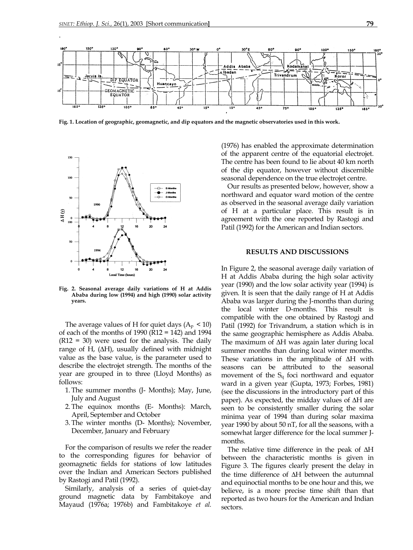.



**Fig. 1. Location of geographic, geomagnetic, and dip equators and the magnetic observatories used in this work.** 



**Fig. 2. Seasonal average daily variations of H at Addis Ababa during low (1994) and high (1990) solar activity years.**

The average values of H for quiet days  $(A_p < 10)$ of each of the months of 1990 (R12 = 142) and 1994  $(R12 = 30)$  were used for the analysis. The daily range of H,  $(\Delta H)$ , usually defined with midnight value as the base value, is the parameter used to describe the electrojet strength. The months of the year are grouped in to three (Lloyd Months) as follows:

- 1. The summer months (J- Months); May, June, July and August
- 2. The equinox months (E- Months): March, April, September and October
- 3. The winter months (D- Months); November, December, January and February

For the comparison of results we refer the reader to the corresponding figures for behavior of geomagnetic fields for stations of low latitudes over the Indian and American Sectors published by Rastogi and Patil (1992).

Similarly, analysis of a series of quiet-day ground magnetic data by Fambitakoye and Mayaud (1976a; 1976b) and Fambitakoye *et al.*  (1976) has enabled the approximate determination of the apparent centre of the equatorial electrojet. The centre has been found to lie about 40 km north of the dip equator, however without discernible seasonal dependence on the true electrojet centre.

Our results as presented below, however, show a northward and equator ward motion of the centre as observed in the seasonal average daily variation of H at a particular place. This result is in agreement with the one reported by Rastogi and Patil (1992) for the American and Indian sectors.

### **RESULTS AND DISCUSSIONS**

In Figure 2, the seasonal average daily variation of H at Addis Ababa during the high solar activity year (1990) and the low solar activity year (1994) is given. It is seen that the daily range of H at Addis Ababa was larger during the J-months than during the local winter D-months. This result is compatible with the one obtained by Rastogi and Patil (1992) for Trivandrum, a station which is in the same geographic hemisphere as Addis Ababa. The maximum of ∆H was again later during local summer months than during local winter months. These variations in the amplitude of ∆H with seasons can be attributed to the seasonal movement of the  $S_q$  foci northward and equator ward in a given year (Gupta, 1973; Forbes, 1981) (see the discussions in the introductory part of this paper). As expected, the midday values of ∆H are seen to be consistently smaller during the solar minima year of 1994 than during solar maxima year 1990 by about 50 nT, for all the seasons, with a somewhat larger difference for the local summer Jmonths.

The relative time difference in the peak of ∆H between the characteristic months is given in Figure 3. The figures clearly present the delay in the time difference of ∆H between the autumnal and equinoctial months to be one hour and this, we believe, is a more precise time shift than that reported as two hours for the American and Indian sectors.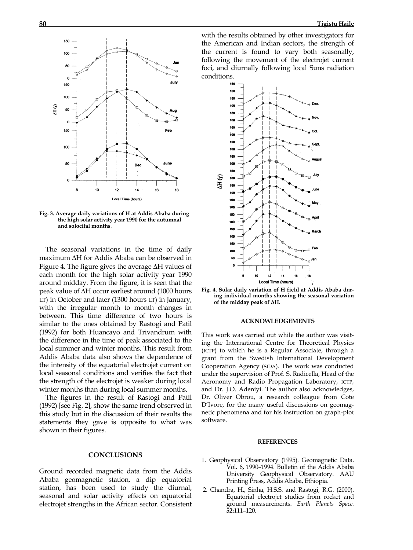

**Fig. 3. Average daily variations of H at Addis Ababa during the high solar activity year 1990 for the autumnal and solocital months**.

The seasonal variations in the time of daily maximum ∆H for Addis Ababa can be observed in Figure 4. The figure gives the average ∆H values of each month for the high solar activity year 1990 around midday. From the figure, it is seen that the peak value of ∆H occur earliest around (1000 hours LT) in October and later (1300 hours LT) in January, with the irregular month to month changes in between. This time difference of two hours is similar to the ones obtained by Rastogi and Patil (1992) for both Huancayo and Trivandrum with the difference in the time of peak associated to the local summer and winter months. This result from Addis Ababa data also shows the dependence of the intensity of the equatorial electrojet current on local seasonal conditions and verifies the fact that the strength of the electrojet is weaker during local winter months than during local summer months.

The figures in the result of Rastogi and Patil (1992) [see Fig. 2], show the same trend observed in this study but in the discussion of their results the statements they gave is opposite to what was shown in their figures.

#### **CONCLUSIONS**

Ground recorded magnetic data from the Addis Ababa geomagnetic station, a dip equatorial station, has been used to study the diurnal, seasonal and solar activity effects on equatorial electrojet strengths in the African sector. Consistent

with the results obtained by other investigators for the American and Indian sectors, the strength of the current is found to vary both seasonally, following the movement of the electrojet current foci, and diurnally following local Suns radiation conditions.





#### **ACKNOWLEDGEMENTS**

This work was carried out while the author was visiting the International Centre for Theoretical Physics (ICTP) to which he is a Regular Associate, through a grant from the Swedish International Development Cooperation Agency (SIDA). The work was conducted under the supervision of Prof. S. Radicella, Head of the Aeronomy and Radio Propagation Laboratory, ICTP, and Dr. J.O. Adeniyi. The author also acknowledges, Dr. Oliver Obrou, a research colleague from Cote D'Ivore, for the many useful discussions on geomagnetic phenomena and for his instruction on graph-plot software.

#### **REFERENCES**

- 1. Geophysical Observatory (1995). Geomagnetic Data. Vol**.** 6**,** 1990–1994. Bulletin of the Addis Ababa University Geophysical Observatory. AAU Printing Press, Addis Ababa, Ethiopia.
- 2. Chandra, H., Sinha, H.S.S. and Rastogi, R.G. (2000). Equatorial electrojet studies from rocket and ground measurements. *Earth Planets Space.* **52:**111–120.